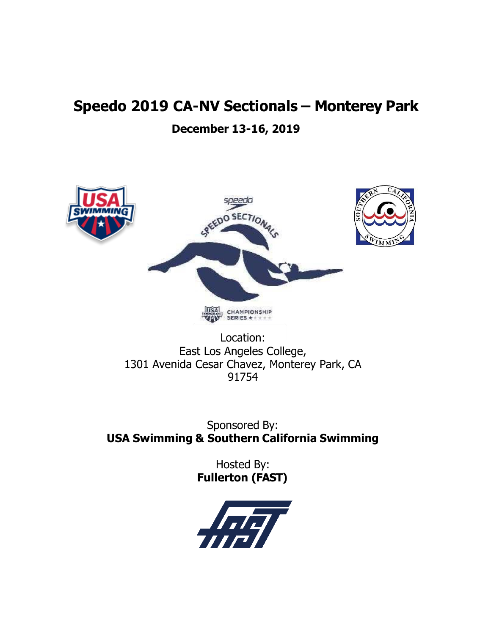# **Speedo 2019 CA-NV Sectionals – Monterey Park**

# **December 13-16, 2019**



Location: East Los Angeles College, 1301 Avenida Cesar Chavez, Monterey Park, CA 91754

Sponsored By: **USA Swimming & Southern California Swimming**

> Hosted By: **Fullerton (FAST)**

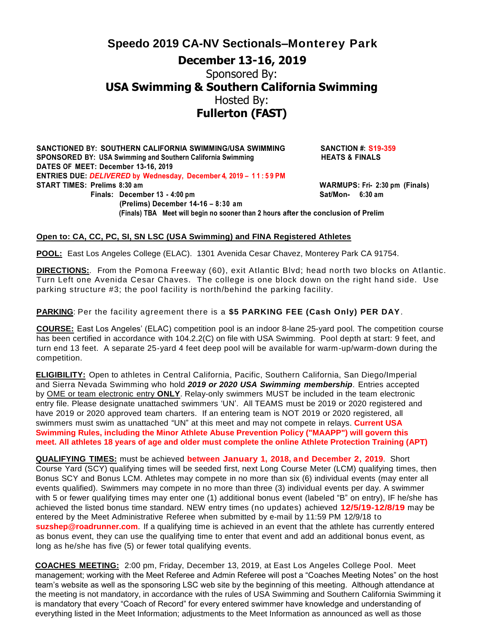**SANCTIONED BY: SOUTHERN CALIFORNIA SWIMMING/USA SWIMMING SANCTION #: S19-359 SPONSORED** BY: USA Swimming and Southern California Swimming **HEATS** & FINALS **DATES OF MEET: December 13-16, 2019 ENTRIES DUE:** *DELIVERED* **by Wednesday, December 4, 2019 – 1 1 : 5 9 PM START TIMES: Prelims 8:30 am WARMUPS: Fri- 2:30 pm (Finals) Finals: December 13 - 4:00 pm**  $Sat/Mon- 6:30$  **am (Prelims) December 14-16 – 8:30 am (Finals) TBA Meet will begin no sooner than 2 hours after the conclusion of Prelim**

#### **Open to: CA, CC, PC, SI, SN LSC (USA Swimming) and FINA Registered Athletes**

**POOL:** East Los Angeles College (ELAC). 1301 Avenida Cesar Chavez, Monterey Park CA 91754.

**DIRECTIONS:**. From the Pomona Freeway (60), exit Atlantic Blvd; head north two blocks on Atlantic. Turn Left one Avenida Cesar Chaves. The college is one block down on the right hand side. Use parking structure #3; the pool facility is north/behind the parking facility.

**PARKING**: Per the facility agreement there is a **\$5 PARKING FEE (Cash Only) PER DAY**.

**COURSE:** East Los Angeles' (ELAC) competition pool is an indoor 8-lane 25-yard pool. The competition course has been certified in accordance with 104.2.2(C) on file with USA Swimming. Pool depth at start: 9 feet, and turn end 13 feet. A separate 25-yard 4 feet deep pool will be available for warm-up/warm-down during the competition.

**ELIGIBILITY:** Open to athletes in Central California, Pacific, Southern California, San Diego/Imperial and Sierra Nevada Swimming who hold *2019 or 2020 USA Swimming membership*. Entries accepted by OME or team electronic entry **ONLY**. Relay-only swimmers MUST be included in the team electronic entry file. Please designate unattached swimmers 'UN'. All TEAMS must be 2019 or 2020 registered and have 2019 or 2020 approved team charters. If an entering team is NOT 2019 or 2020 registered, all swimmers must swim as unattached "UN" at this meet and may not compete in relays. **Current USA Swimming Rules, including the Minor Athlete Abuse Prevention Policy ("MAAPP") will govern this meet. All athletes 18 years of age and older must complete the online Athlete Protection Training (APT)**

**QUALIFYING TIMES:** must be achieved **between January 1, 2018, and December 2, 2019**. Short Course Yard (SCY) qualifying times will be seeded first, next Long Course Meter (LCM) qualifying times, then Bonus SCY and Bonus LCM. Athletes may compete in no more than six (6) individual events (may enter all events qualified). Swimmers may compete in no more than three (3) individual events per day. A swimmer with 5 or fewer qualifying times may enter one (1) additional bonus event (labeled "B" on entry), IF he/she has achieved the listed bonus time standard. NEW entry times (no updates) achieved **12/5/19-12/8/19** may be entered by the Meet Administrative Referee when submitted by e-mail by 11:59 PM 12/9/18 to **suzshep@roadrunner.com**. If a qualifying time is achieved in an event that the athlete has currently entered as bonus event, they can use the qualifying time to enter that event and add an additional bonus event, as long as he/she has five (5) or fewer total qualifying events.

**COACHES MEETING:** 2:00 pm, Friday, December 13, 2019, at East Los Angeles College Pool. Meet management; working with the Meet Referee and Admin Referee will post a "Coaches Meeting Notes" on the host team's website as well as the sponsoring LSC web site by the beginning of this meeting. Although attendance at the meeting is not mandatory, in accordance with the rules of USA Swimming and Southern California Swimming it is mandatory that every "Coach of Record" for every entered swimmer have knowledge and understanding of everything listed in the Meet Information; adjustments to the Meet Information as announced as well as those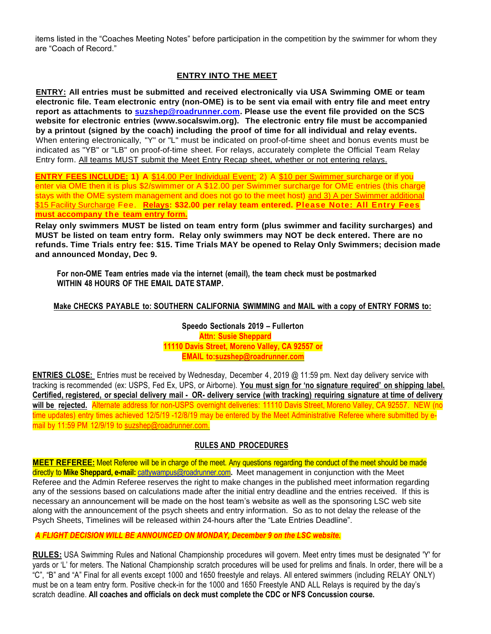items listed in the "Coaches Meeting Notes" before participation in the competition by the swimmer for whom they are "Coach of Record."

### **ENTRY INTO THE MEET**

**ENTRY: All entries must be submitted and received electronically via USA Swimming OME or team electronic file. Team electronic entry (non-OME) is to be sent via email with entry file and meet entry report as attachments to [suzshep@roadrunner.com.](mailto:suzshep@roadrunner.com) Please use the event file provided on the SCS website for electronic entries [\(www.socalswim.org\)](http://www.socalswim.org/). The electronic entry file must be accompanied** by a printout (signed by the coach) including the proof of time for all individual and relay events. When entering electronically, "Y" or "L" must be indicated on proof-of-time sheet and bonus events must be indicated as "YB" or "LB" on proof-of-time sheet. For relays, accurately complete the Official Team Relay Entry form. All teams MUST submit the Meet Entry Recap sheet, whether or not entering relays.

**ENTRY FEES INCLUDE: 1) A** \$14.00 Per Individual Event; 2) A \$10 per Swimmer surcharge or if you enter via OME then it is plus \$2/swimmer or A \$12.00 per Swimmer surcharge for OME entries (this charge stays with the OME system management and does not go to the meet host) and 3) A per Swimmer additional \$15 Facility Surcharge Fee. **Relays: \$32.00 per relay team entered. Please Note: All Entry Fees must accompany the team entry form.**

**Relay only swimmers MUST be listed on team entry form (plus swimmer and facility surcharges) and MUST be listed on team entry form. Relay only swimmers may NOT be deck entered. There are no refunds. Time Trials entry fee: \$15. Time Trials MAY be opened to Relay Only Swimmers; decision made and announced Monday, Dec 9.**

**For non-OME Team entries made via the internet (email), the team check must be postmarked WITHIN 48 HOURS OF THE EMAIL DATE STAMP.**

### **Make CHECKS PAYABLE to: SOUTHERN CALIFORNIA SWIMMING and MAIL with a copy of ENTRY FORMS to:**

**Speedo Sectionals 2019 – Fullerton Attn: Susie Sheppard 11110 Davis Street, Moreno Valley, CA 92557 or EMAIL to:suzshep@roadrunner.com**

**ENTRIES CLOSE:** Entries must be received by Wednesday, December 4, 2019 @ 11:59 pm. Next day delivery service with tracking is recommended (ex: USPS, Fed Ex, UPS, or Airborne). **You must sign for 'no signature required' on shipping label.** Certified, registered, or special delivery mail - OR- delivery service (with tracking) reguiring signature at time of delivery **will be rejected.** Alternate address for non-USPS overnight deliveries: 11110 Davis Street, Moreno Valley, CA 92557. NEW (no time updates) entry times achieved 12/5/19-12/8/19 may be entered by the Meet Administrative Referee where submitted by email by 11:59 PM 12/9/19 to suzshep@roadrunner.com.

#### **RULES AND PROCEDURES**

**MEET REFEREE:** Meet Referee will be in charge of the meet. Any questions regarding the conduct of the meet should be made directly to **Mike Sheppard, e-mail:** [cattywampus@roadrunner.com](mailto:cattywampus@roadrunner.com)**.** Meet management in conjunction with the Meet Referee and the Admin Referee reserves the right to make changes in the published meet information regarding any of the sessions based on calculations made after the initial entry deadline and the entries received. If this is necessary an announcement will be made on the host team's website as well as the sponsoring LSC web site along with the announcement of the psych sheets and entry information. So as to not delay the release of the Psych Sheets, Timelines will be released within 24-hours after the "Late Entries Deadline".

#### *A FLIGHT DECISION WILL BE ANNOUNCED ON MONDAY, December 9 on the LSC website.*

**RULES:** USA Swimming Rules and National Championship procedures will govern. Meet entry times must be designated 'Y' for yards or 'L' for meters. The National Championship scratch procedures will be used for prelims and finals. In order, there will be a "C", "B" and "A" Final for all events except 1000 and 1650 freestyle and relays. All entered swimmers (including RELAY ONLY) must be on a team entry form. Positive check-in for the 1000 and 1650 Freestyle AND ALL Relays is required by the day's scratch deadline. **All coaches and officials on deck must complete the CDC or NFS Concussion course.**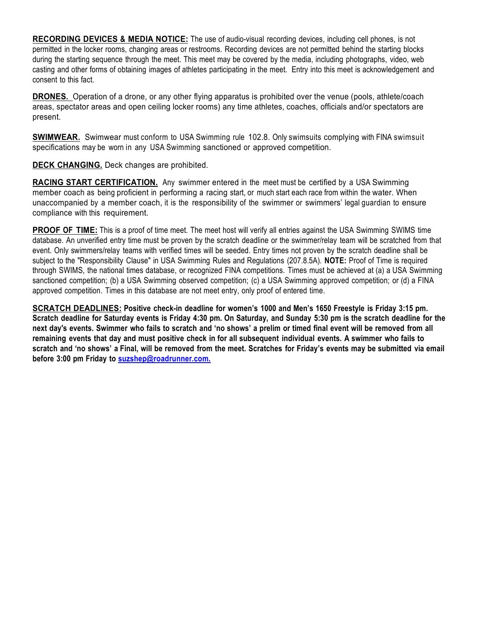**RECORDING DEVICES & MEDIA NOTICE:** The use of audio-visual recording devices, including cell phones, is not permitted in the locker rooms, changing areas or restrooms. Recording devices are not permitted behind the starting blocks during the starting sequence through the meet. This meet may be covered by the media, including photographs, video, web casting and other forms of obtaining images of athletes participating in the meet. Entry into this meet is acknowledgement and consent to this fact.

**DRONES.** Operation of a drone, or any other flying apparatus is prohibited over the venue (pools, athlete/coach areas, spectator areas and open ceiling locker rooms) any time athletes, coaches, officials and/or spectators are present.

**SWIMWEAR.** Swimwear must conform to USA Swimming rule 102.8. Only swimsuits complying with FINA swimsuit specifications may be worn in any USA Swimming sanctioned or approved competition.

**DECK CHANGING.** Deck changes are prohibited.

**RACING START CERTIFICATION.** Any swimmer entered in the meet must be certified by a USA Swimming member coach as being proficient in performing a racing start, or much start each race from within the water. When unaccompanied by a member coach, it is the responsibility of the swimmer or swimmers' legal guardian to ensure compliance with this requirement.

**PROOF OF TIME:** This is a proof of time meet. The meet host will verify all entries against the USA Swimming SWIMS time database. An unverified entry time must be proven by the scratch deadline or the swimmer/relay team will be scratched from that event. Only swimmers/relay teams with verified times will be seeded. Entry times not proven by the scratch deadline shall be subject to the "Responsibility Clause" in USA Swimming Rules and Regulations (207.8.5A). **NOTE:** Proof of Time is required through SWIMS, the national times database, or recognized FINA competitions. Times must be achieved at (a) a USA Swimming sanctioned competition; (b) a USA Swimming observed competition; (c) a USA Swimming approved competition; or (d) a FINA approved competition. Times in this database are not meet entry, only proof of entered time.

SCRATCH DEADLINES: Positive check-in deadline for women's 1000 and Men's 1650 Freestyle is Friday 3:15 pm. Scratch deadline for Saturday events is Friday 4:30 pm. On Saturday, and Sunday 5:30 pm is the scratch deadline for the next day's events. Swimmer who fails to scratch and 'no shows' a prelim or timed final event will be removed from all remaining events that day and must positive check in for all subsequent individual events. A swimmer who fails to scratch and 'no shows' a Final, will be removed from the meet. Scratches for Friday's events may be submitted via email **before 3:00 pm Friday to [suzshep@roadrunner.com.](mailto:suzshep@roadrunner.com.)**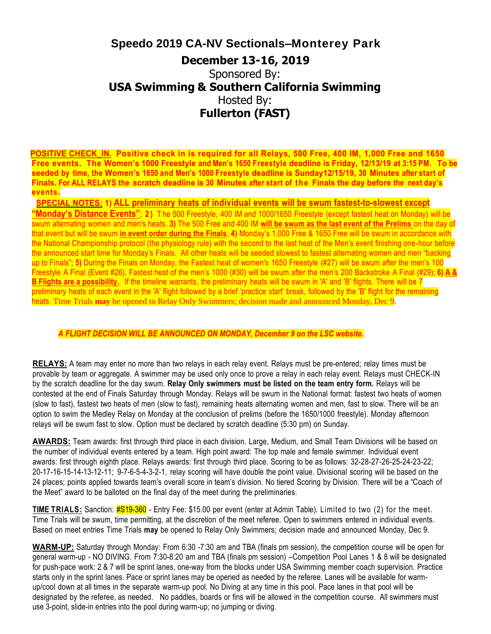**POSITIVE CHECK\_IN. Positive check in is required for all Relays, 500 Free, 400 IM, 1,000 Free and 1650 Free events. The Women's 1000 Freestyle and Men's 1650 Freestyle deadline is Friday, 12/13/19 at 3:15 PM. To be seeded by time, the Women's 1650 and Men's 1000 Freestyle deadline is Sunday12/15/19, 30 Minutes after start of Finals. For ALL RELAYS the scratch deadline is 30 Minutes after start of t h e Finals the day before the next day's events.**

 **SPECIAL NOTES: 1) ALL preliminary heats of individual events will be swum fastest-to-slowest except "Monday's Distance Events"**; **2 )** T he 500 Freestyle, 400 IM and 1000/1650 Freestyle (except fastest heat on Monday) will be swum alternating women and men's heats. **3)** The 500 Free and 400 IM **will be swum as the last event of the Prelims** on the day of that event but will be swum **in event order during the Finals**; **4)** Monday's 1,000 Free & 1650 Free will be swum in accordance with the National Championship protocol (the physiology rule) with the second to the last heat of the Men's event finishing one-hour before the announced start time for Monday's Finals. All other heats will be seeded slowest to fastest alternating women and men "backing up to Finals"; **5)** During the Finals on Monday, the Fastest heat of women's 1650 Freestyle (#27) will be swum after the men's 100 Freestyle A Final (Event #26). Fastest heat of the men's 1000 (#30) will be swum after the men's 200 Backstroke A Final (#29); **6) A & B Flights are a possibility.** If the timeline warrants, the preliminary heats will be swum in 'A' and 'B' flights. There will be 7 preliminary heats of each event in the 'A' flight followed by a brief 'practice start' break, followed by the 'B' flight for the remaining heats. Time Trials **may** be opened to Relay Only Swimmers; decision made and announced Monday, Dec 9.

#### *A FLIGHT DECISION WILL BE ANNOUNCED ON MONDAY, December 9 on the LSC website.*

**RELAYS:** A team may enter no more than two relays in each relay event. Relays must be pre-entered; relay times must be provable by team or aggregate. A swimmer may be used only once to prove a relay in each relay event. Relays must CHECK-IN by the scratch deadline for the day swum. **Relay Only swimmers must be listed on the team entry form.** Relays will be contested at the end of Finals Saturday through Monday. Relays will be swum in the National format: fastest two heats of women (slow to fast), fastest two heats of men (slow to fast), remaining heats alternating women and men, fast to slow. There will be an option to swim the Medley Relay on Monday at the conclusion of prelims (before the 1650/1000 freestyle). Monday afternoon relays will be swum fast to slow. Option must be declared by scratch deadline (5:30 pm) on Sunday.

**AWARDS:** Team awards: first through third place in each division. Large, Medium, and Small Team Divisions will be based on the number of individual events entered by a team. High point award: The top male and female swimmer. Individual event awards: first through eighth place. Relays awards: first through third place. Scoring to be as follows: 32-28-27-26-25-24-23-22; 20-17-16-15-14-13-12-11; 9-7-6-5-4-3-2-1, relay scoring will have double the point value. Divisional scoring will be based on the 24 places; points applied towards team's overall score in team's division. No tiered Scoring by Division. There will be a "Coach of the Meet" award to be balloted on the final day of the meet during the preliminaries.

**TIME TRIALS:** Sanction: #S19-360 - Entry Fee: \$15.00 per event (enter at Admin Table). Limited to two (2) for the meet. Time Trials will be swum, time permitting, at the discretion of the meet referee. Open to swimmers entered in individual events. Based on meet entries Time Trials **may** be opened to Relay Only Swimmers; decision made and announced Monday, Dec 9.

**WARM-UP:** Saturday through Monday: From 6:30 -7:30 am and TBA (finals pm session), the competition course will be open for general warm-up - NO DIVING. From 7:30-8:20 am and TBA (finals pm session) –Competition Pool Lanes 1 & 8 will be designated for push-pace work: 2 & 7 will be sprint lanes, one-way from the blocks under USA Swimming member coach supervision. Practice starts only in the sprint lanes. Pace or sprint lanes may be opened as needed by the referee. Lanes will be available for warmup/cool down at all times in the separate warm-up pool. No Diving at any time in this pool. Pace lanes in that pool will be designated by the referee, as needed. No paddles, boards or fins will be allowed in the competition course. All swimmers must use 3-point, slide-in entries into the pool during warm-up; no jumping or diving.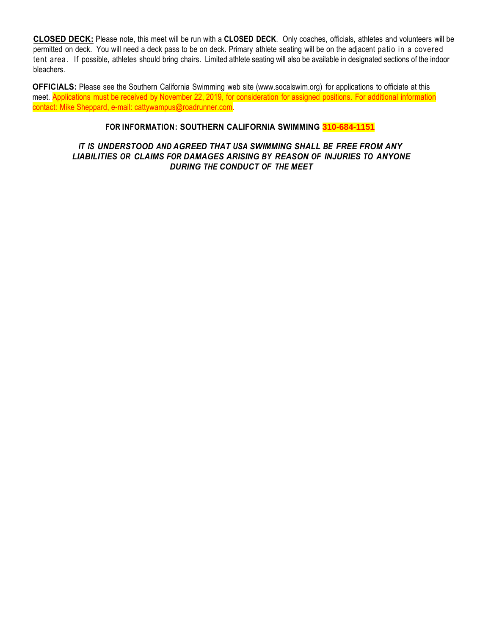**CLOSED DECK:** Please note, this meet will be run with a **CLOSED DECK**. Only coaches, officials, athletes and volunteers will be permitted on deck. You will need a deck pass to be on deck. Primary athlete seating will be on the adjacent patio in a covered tent area. If possible, athletes should bring chairs. Limited athlete seating will also be available in designated sections of the indoor bleachers.

**OFFICIALS:** Please see the Southern California Swimming web site [\(www.socalswim.org\)](http://www.socalswim.org/) for applications to officiate at this meet. Applications must be received by November 22, 2019, for consideration for assigned positions. For additional information contact: Mike Sheppard, e-mail: cattywampus@roadrunner.com.

### **FOR INFORMATION: SOUTHERN CALIFORNIA SWIMMING 310-684-1151**

### *IT IS UNDERSTOOD AND AGREED THAT USA SWIMMING SHALL BE FREE FROM ANY LIABILITIES OR CLAIMS FOR DAMAGES ARISING BY REASON OF INJURIES TO ANYONE DURING THE CONDUCT OF THE MEET*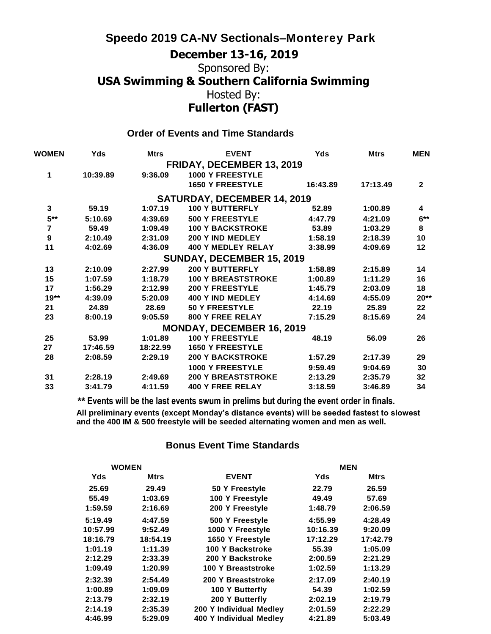# **Speedo 2019 CA-NV Sectionals–Monterey Park**

# **December 13-16, 2019** Sponsored By: **USA Swimming & Southern California Swimming** Hosted By: **Fullerton (FAST)**

### **Order of Events and Time Standards**

| WOMEN            | Yds      | <b>Mtrs</b> | <b>EVENT</b>                       | <b>Yds</b> | <b>Mtrs</b> | <b>MEN</b>   |
|------------------|----------|-------------|------------------------------------|------------|-------------|--------------|
|                  |          |             | <b>FRIDAY, DECEMBER 13, 2019</b>   |            |             |              |
| 1                | 10:39.89 | 9:36.09     | <b>1000 Y FREESTYLE</b>            |            |             |              |
|                  |          |             | <b>1650 Y FREESTYLE</b>            | 16:43.89   | 17:13.49    | $\mathbf{2}$ |
|                  |          |             | <b>SATURDAY, DECEMBER 14, 2019</b> |            |             |              |
| 3                | 59.19    | 1:07.19     | <b>100 Y BUTTERFLY</b>             | 52.89      | 1:00.89     | 4            |
| $5***$           | 5:10.69  | 4:39.69     | <b>500 Y FREESTYLE</b>             | 4:47.79    | 4:21.09     | $6***$       |
| $\overline{7}$   | 59.49    | 1:09.49     | <b>100 Y BACKSTROKE</b>            | 53.89      | 1:03.29     | 8            |
| $\boldsymbol{9}$ | 2:10.49  | 2:31.09     | 200 Y IND MEDLEY                   | 1:58.19    | 2:18.39     | 10           |
| 11               | 4:02.69  | 4:36.09     | <b>400 Y MEDLEY RELAY</b>          | 3:38.99    | 4:09.69     | 12           |
|                  |          |             | SUNDAY, DECEMBER 15, 2019          |            |             |              |
| 13               | 2:10.09  | 2:27.99     | <b>200 Y BUTTERFLY</b>             | 1:58.89    | 2:15.89     | 14           |
| 15               | 1:07.59  | 1:18.79     | <b>100 Y BREASTSTROKE</b>          | 1:00.89    | 1:11.29     | 16           |
| 17               | 1:56.29  | 2:12.99     | <b>200 Y FREESTYLE</b>             | 1:45.79    | 2:03.09     | 18           |
| $19**$           | 4:39.09  | 5:20.09     | 400 Y IND MEDLEY                   | 4:14.69    | 4:55.09     | $20**$       |
| 21               | 24.89    | 28.69       | <b>50 Y FREESTYLE</b>              | 22.19      | 25.89       | 22           |
| 23               | 8:00.19  | 9:05.59     | 800 Y FREE RELAY                   | 7:15.29    | 8:15.69     | 24           |
|                  |          |             | <b>MONDAY, DECEMBER 16, 2019</b>   |            |             |              |
| 25               | 53.99    | 1:01.89     | <b>100 Y FREESTYLE</b>             | 48.19      | 56.09       | 26           |
| 27               | 17:46.59 | 18:22.99    | <b>1650 Y FREESTYLE</b>            |            |             |              |
| 28               | 2:08.59  | 2:29.19     | <b>200 Y BACKSTROKE</b>            | 1:57.29    | 2:17.39     | 29           |
|                  |          |             | <b>1000 Y FREESTYLE</b>            | 9:59.49    | 9:04.69     | 30           |
| 31               | 2:28.19  | 2:49.69     | <b>200 Y BREASTSTROKE</b>          | 2:13.29    | 2:35.79     | 32           |
| 33               | 3:41.79  | 4:11.59     | <b>400 Y FREE RELAY</b>            | 3:18.59    | 3:46.89     | 34           |
|                  |          |             |                                    |            |             |              |

**\*\* Events will be the last events swum in prelims but during the event order in finals. All preliminary events (except Monday's distance events) will be seeded fastest to slowest and the 400 IM & 500 freestyle will be seeded alternating women and men as well.**

### **Bonus Event Time Standards**

| <b>WOMEN</b> |          |                         | <b>MEN</b> |             |
|--------------|----------|-------------------------|------------|-------------|
| Yds          | Mtrs     | <b>EVENT</b>            | Yds        | <b>Mtrs</b> |
| 25.69        | 29.49    | 50 Y Freestyle          | 22.79      | 26.59       |
| 55.49        | 1:03.69  | 100 Y Freestyle         | 49.49      | 57.69       |
| 1:59.59      | 2:16.69  | 200 Y Freestyle         | 1:48.79    | 2:06.59     |
| 5:19.49      | 4:47.59  | 500 Y Freestyle         | 4:55.99    | 4:28.49     |
| 10:57.99     | 9:52.49  | 1000 Y Freestyle        | 10:16.39   | 9:20.09     |
| 18:16.79     | 18:54.19 | 1650 Y Freestyle        | 17:12.29   | 17:42.79    |
| 1:01.19      | 1:11.39  | 100 Y Backstroke        | 55.39      | 1:05.09     |
| 2:12.29      | 2:33.39  | 200 Y Backstroke        | 2:00.59    | 2:21.29     |
| 1:09.49      | 1:20.99  | 100 Y Breaststroke      | 1:02.59    | 1:13.29     |
| 2:32.39      | 2:54.49  | 200 Y Breaststroke      | 2:17.09    | 2:40.19     |
| 1:00.89      | 1:09.09  | 100 Y Butterfly         | 54.39      | 1:02.59     |
| 2:13.79      | 2:32.19  | 200 Y Butterfly         | 2:02.19    | 2:19.79     |
| 2:14.19      | 2:35.39  | 200 Y Individual Medley | 2:01.59    | 2:22.29     |
| 4:46.99      | 5:29.09  | 400 Y Individual Medlev | 4:21.89    | 5:03.49     |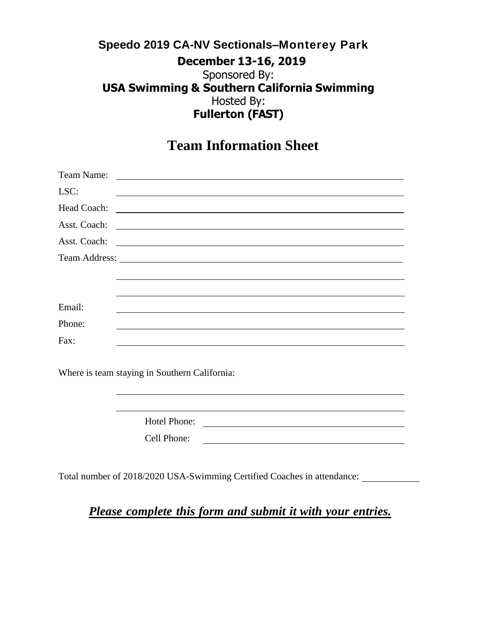**Team Information Sheet**

| Team Name:   |                                                                                                                       |
|--------------|-----------------------------------------------------------------------------------------------------------------------|
| LSC:         | <u> 1989 - Andrea Stadt Britain, actor a component de la componentación de la componentación de la componentación</u> |
|              |                                                                                                                       |
| Asst. Coach: | <u> 1989 - Johann Harry Harry Harry Harry Harry Harry Harry Harry Harry Harry Harry Harry Harry Harry Harry Harry</u> |
|              |                                                                                                                       |
|              |                                                                                                                       |
|              |                                                                                                                       |
|              |                                                                                                                       |
| Email:       |                                                                                                                       |
| Phone:       |                                                                                                                       |
| Fax:         |                                                                                                                       |

Where is team staying in Southern California:

| Hotel Phone: |  |
|--------------|--|
| Cell Phone:  |  |

Total number of 2018/2020 USA-Swimming Certified Coaches in attendance:

*Please complete this form and submit it with your entries.*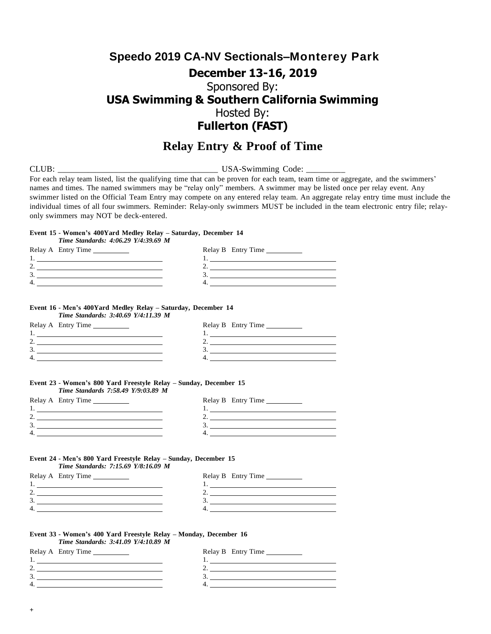### **Relay Entry & Proof of Time**

CLUB: USA-Swimming Code: \_

For each relay team listed, list the qualifying time that can be proven for each team, team time or aggregate, and the swimmers' names and times. The named swimmers may be "relay only" members. A swimmer may be listed once per relay event. Any swimmer listed on the Official Team Entry may compete on any entered relay team. An aggregate relay entry time must include the individual times of all four swimmers. Reminder: Relay-only swimmers MUST be included in the team electronic entry file; relayonly swimmers may NOT be deck-entered.

#### **Event 15 - Women's 400Yard Medley Relay – Saturday, December 14**

| Time Standards: 4:06.29 Y/4:39.69 M      |  |
|------------------------------------------|--|
| Relay B Entry Time<br>Relay A Entry Time |  |
| <u>l. _________________________</u>      |  |
|                                          |  |
|                                          |  |
|                                          |  |

### **Event 16 - Men's 400Yard Medley Relay – Saturday, December 14**

*Time Standards: 3:40.69 Y/4:11.39 M*

| Relay A Entry Time | Relay B Entry Time |
|--------------------|--------------------|
|                    |                    |
|                    |                    |
|                    |                    |
|                    |                    |
|                    |                    |

#### **Event 23 - Women's 800 Yard Freestyle Relay – Sunday, December 15** *Time Standards 7:58.49 Y/9:03.89 M*

|   | Relay A Entry Time | Relay B Entry Time |
|---|--------------------|--------------------|
|   |                    |                    |
|   |                    |                    |
|   |                    |                    |
| 4 |                    |                    |
|   |                    |                    |

#### **Event 24 - Men's 800 Yard Freestyle Relay – Sunday, December 15**

*Time Standards: 7:15.69 Y/8:16.09 M*

| Relay A Entry Time | Relay B Entry Time |
|--------------------|--------------------|
| .,                 |                    |
| <u>.</u>           | <u>.</u>           |
| 3.                 |                    |
| 4.                 |                    |
|                    |                    |

#### **Event 33 - Women's 400 Yard Freestyle Relay – Monday, December 16**

| Relay B Entry Time                                  |
|-----------------------------------------------------|
| and the contract of the contract of the contract of |
|                                                     |
|                                                     |
|                                                     |
|                                                     |

1. 2. 3. 4.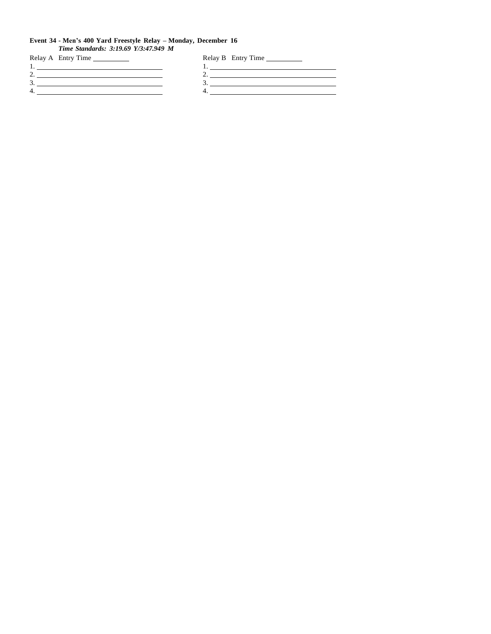#### **Event 34 - Men's 400 Yard Freestyle Relay – Monday, December 16**

*Time Standards: 3:19.69 Y/3:47.949 M*

| Relay A Entry Time | Relay B Entry Time |
|--------------------|--------------------|
|                    |                    |
|                    |                    |
|                    |                    |
| 4                  |                    |
|                    |                    |